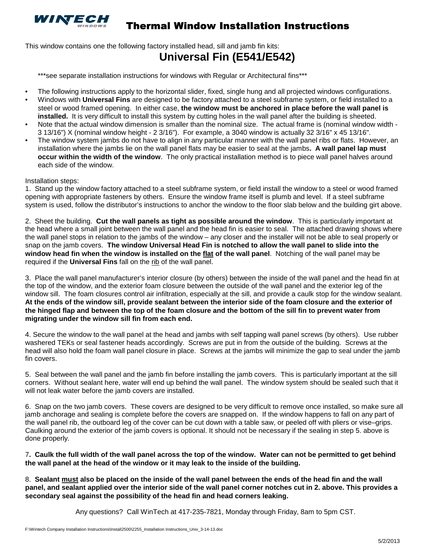

## Thermal Window Installation Instructions

This window contains one the following factory installed head, sill and jamb fin kits:

## **Universal Fin (E541/E542)**

\*\*\*see separate installation instructions for windows with Regular or Architectural fins\*\*\*

- The following instructions apply to the horizontal slider, fixed, single hung and all projected windows configurations.
- Windows with **Universal Fins** are designed to be factory attached to a steel subframe system, or field installed to a steel or wood framed opening. In either case, **the window must be anchored in place before the wall panel is installed.** It is very difficult to install this system by cutting holes in the wall panel after the building is sheeted.
- Note that the actual window dimension is smaller than the nominal size. The actual frame is (nominal window width 3 13/16") X (nominal window height - 2 3/16"). For example, a 3040 window is actually 32 3/16" x 45 13/16".
- The window system jambs do not have to align in any particular manner with the wall panel ribs or flats. However, an installation where the jambs lie on the wall panel flats may be easier to seal at the jambs**. A wall panel lap must occur within the width of the window**. The only practical installation method is to piece wall panel halves around each side of the window.

## Installation steps:

1. Stand up the window factory attached to a steel subframe system, or field install the window to a steel or wood framed opening with appropriate fasteners by others. Ensure the window frame itself is plumb and level. If a steel subframe system is used, follow the distributor's instructions to anchor the window to the floor slab below and the building girt above.

2. Sheet the building. **Cut the wall panels as tight as possible around the window**. This is particularly important at the head where a small joint between the wall panel and the head fin is easier to seal. The attached drawing shows where the wall panel stops in relation to the jambs of the window – any closer and the installer will not be able to seal properly or snap on the jamb covers. **The window Universal Head Fin is notched to allow the wall panel to slide into the window head fin when the window is installed on the flat of the wall panel**. Notching of the wall panel may be required if the **Universal Fins** fall on the rib of the wall panel.

3. Place the wall panel manufacturer's interior closure (by others) between the inside of the wall panel and the head fin at the top of the window, and the exterior foam closure between the outside of the wall panel and the exterior leg of the window sill. The foam closures control air infiltration, especially at the sill, and provide a caulk stop for the window sealant. **At the ends of the window sill, provide sealant between the interior side of the foam closure and the exterior of the hinged flap and between the top of the foam closure and the bottom of the sill fin to prevent water from migrating under the window sill fin from each end.** 

4. Secure the window to the wall panel at the head and jambs with self tapping wall panel screws (by others). Use rubber washered TEKs or seal fastener heads accordingly. Screws are put in from the outside of the building. Screws at the head will also hold the foam wall panel closure in place. Screws at the jambs will minimize the gap to seal under the jamb fin covers.

5. Seal between the wall panel and the jamb fin before installing the jamb covers. This is particularly important at the sill corners. Without sealant here, water will end up behind the wall panel. The window system should be sealed such that it will not leak water before the jamb covers are installed.

6. Snap on the two jamb covers. These covers are designed to be very difficult to remove once installed, so make sure all jamb anchorage and sealing is complete before the covers are snapped on. If the window happens to fall on any part of the wall panel rib, the outboard leg of the cover can be cut down with a table saw, or peeled off with pliers or vise–grips. Caulking around the exterior of the jamb covers is optional. It should not be necessary if the sealing in step 5. above is done properly.

7**. Caulk the full width of the wall panel across the top of the window. Water can not be permitted to get behind the wall panel at the head of the window or it may leak to the inside of the building.** 

8. **Sealant must also be placed on the inside of the wall panel between the ends of the head fin and the wall panel, and sealant applied over the interior side of the wall panel corner notches cut in 2. above. This provides a secondary seal against the possibility of the head fin and head corners leaking.** 

Any questions? Call WinTech at 417-235-7821, Monday through Friday, 8am to 5pm CST.